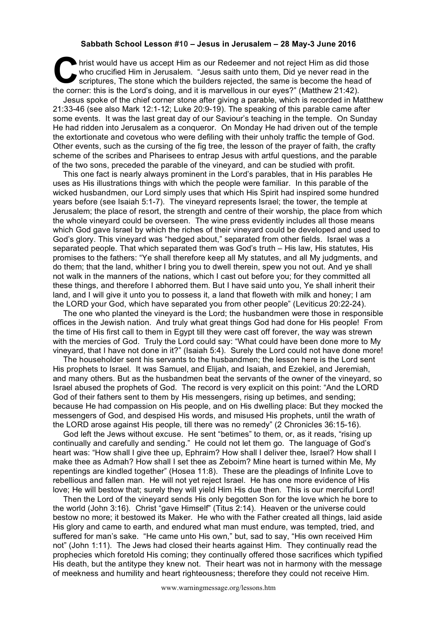## **Sabbath School Lesson #10 – Jesus in Jerusalem – 28 May-3 June 2016**

hrist would have us accept Him as our Redeemer and not reject Him as did those who crucified Him in Jerusalem. "Jesus saith unto them, Did ye never read in the scriptures, The stone which the builders rejected, the same is become the head of It his would have us accept Him as our Redeemer and not reject Him as did the who crucified Him in Jerusalem. "Jesus saith unto them, Did ye never read in the scriptures, The stone which the builders rejected, the same is

Jesus spoke of the chief corner stone after giving a parable, which is recorded in Matthew 21:33-46 (see also Mark 12:1-12; Luke 20:9-19). The speaking of this parable came after some events. It was the last great day of our Saviour's teaching in the temple. On Sunday He had ridden into Jerusalem as a conqueror. On Monday He had driven out of the temple the extortionate and covetous who were defiling with their unholy traffic the temple of God. Other events, such as the cursing of the fig tree, the lesson of the prayer of faith, the crafty scheme of the scribes and Pharisees to entrap Jesus with artful questions, and the parable of the two sons, preceded the parable of the vineyard, and can be studied with profit.

This one fact is nearly always prominent in the Lord's parables, that in His parables He uses as His illustrations things with which the people were familiar. In this parable of the wicked husbandmen, our Lord simply uses that which His Spirit had inspired some hundred years before (see Isaiah 5:1-7). The vineyard represents Israel; the tower, the temple at Jerusalem; the place of resort, the strength and centre of their worship, the place from which the whole vineyard could be overseen. The wine press evidently includes all those means which God gave Israel by which the riches of their vineyard could be developed and used to God's glory. This vineyard was "hedged about," separated from other fields. Israel was a separated people. That which separated them was God's truth – His law, His statutes, His promises to the fathers: "Ye shall therefore keep all My statutes, and all My judgments, and do them; that the land, whither I bring you to dwell therein, spew you not out. And ye shall not walk in the manners of the nations, which I cast out before you; for they committed all these things, and therefore I abhorred them. But I have said unto you, Ye shall inherit their land, and I will give it unto you to possess it, a land that floweth with milk and honey; I am the LORD your God, which have separated you from other people" (Leviticus 20:22-24).

The one who planted the vineyard is the Lord; the husbandmen were those in responsible offices in the Jewish nation. And truly what great things God had done for His people! From the time of His first call to them in Egypt till they were cast off forever, the way was strewn with the mercies of God. Truly the Lord could say: "What could have been done more to My vineyard, that I have not done in it?" (Isaiah 5:4). Surely the Lord could not have done more!

The householder sent his servants to the husbandmen; the lesson here is the Lord sent His prophets to Israel. It was Samuel, and Elijah, and Isaiah, and Ezekiel, and Jeremiah, and many others. But as the husbandmen beat the servants of the owner of the vineyard, so Israel abused the prophets of God. The record is very explicit on this point: "And the LORD God of their fathers sent to them by His messengers, rising up betimes, and sending; because He had compassion on His people, and on His dwelling place: But they mocked the messengers of God, and despised His words, and misused His prophets, until the wrath of the LORD arose against His people, till there was no remedy" (2 Chronicles 36:15-16).

God left the Jews without excuse. He sent "betimes" to them, or, as it reads, "rising up continually and carefully and sending." He could not let them go. The language of God's heart was: "How shall I give thee up, Ephraim? How shall I deliver thee, Israel? How shall I make thee as Admah? How shall I set thee as Zeboim? Mine heart is turned within Me, My repentings are kindled together" (Hosea 11:8). These are the pleadings of Infinite Love to rebellious and fallen man. He will not yet reject Israel. He has one more evidence of His love; He will bestow that; surely they will yield Him His due then. This is our merciful Lord!

Then the Lord of the vineyard sends His only begotten Son for the love which he bore to the world (John 3:16). Christ "gave Himself" (Titus 2:14). Heaven or the universe could bestow no more; it bestowed its Maker. He who with the Father created all things, laid aside His glory and came to earth, and endured what man must endure, was tempted, tried, and suffered for man's sake. "He came unto His own," but, sad to say, "His own received Him not" (John 1:11). The Jews had closed their hearts against Him. They continually read the prophecies which foretold His coming; they continually offered those sacrifices which typified His death, but the antitype they knew not. Their heart was not in harmony with the message of meekness and humility and heart righteousness; therefore they could not receive Him.